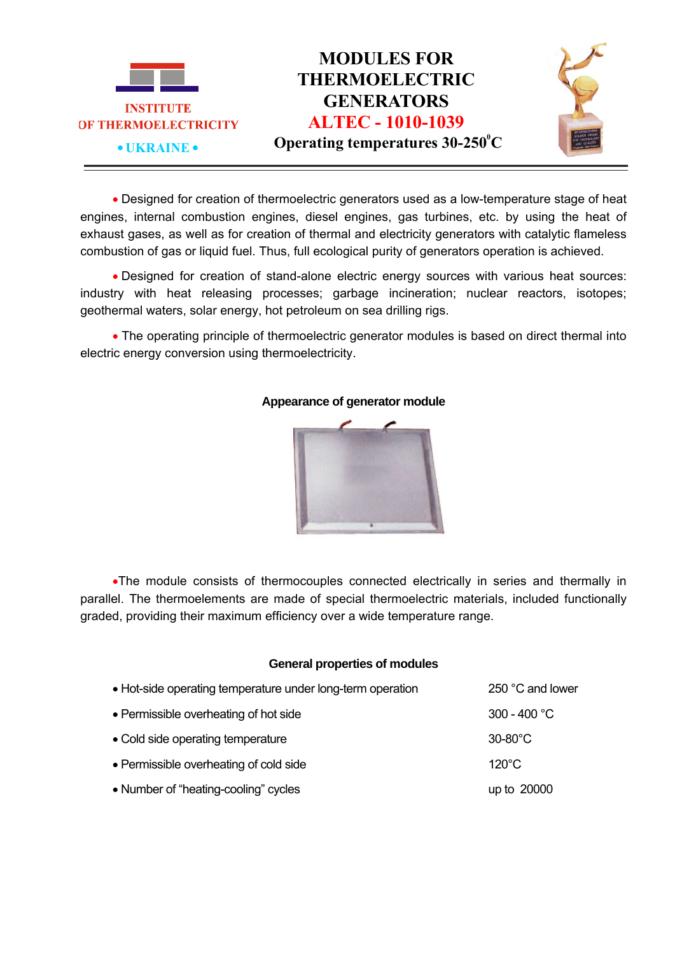

# **MODULES FOR THERMOELECTRIC GENERATORS АLТЕC - 1010-1039 Operating temperatures 30-250 С 0**



 Designed for creation of thermoelectric generators used as a low-temperature stage of heat engines, internal combustion engines, diesel engines, gas turbines, etc. by using the heat of exhaust gases, as well as for creation of thermal and electricity generators with catalytic flameless combustion of gas or liquid fuel. Thus, full ecological purity of generators operation is achieved.

 Designed for creation of stand-alone electric energy sources with various heat sources: industry with heat releasing processes; garbage incineration; nuclear reactors, isotopes; geothermal waters, solar energy, hot petroleum on sea drilling rigs.

• The operating principle of thermoelectric generator modules is based on direct thermal into electric energy conversion using thermoelectricity.



### **Appearance of generator module**

The module consists of thermocouples connected electrically in series and thermally in parallel. The thermoelements are made of special thermoelectric materials, included functionally graded, providing their maximum efficiency over a wide temperature range.

### **General properties of modules**

| • Hot-side operating temperature under long-term operation | 250 °C and lower  |
|------------------------------------------------------------|-------------------|
| • Permissible overheating of hot side                      | 300 - 400 °C      |
| • Cold side operating temperature                          | $30-80^{\circ}$ C |
| • Permissible overheating of cold side                     | $120^{\circ}$ C   |
| • Number of "heating-cooling" cycles                       | up to 20000       |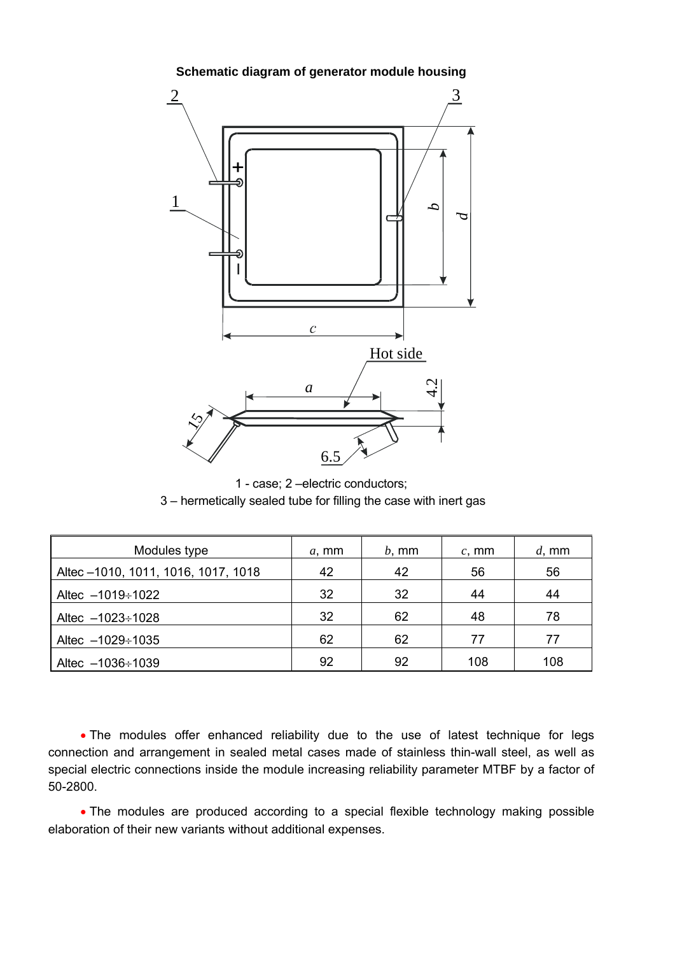

#### **Schematic diagram of generator module housing**

1 - case; 2 –electric conductors; 3 – hermetically sealed tube for filling the case with inert gas

| Modules type                        | $a$ , mm | $b$ , mm | $c$ , mm | $d, \, \text{mm}$ |
|-------------------------------------|----------|----------|----------|-------------------|
| Altec -1010, 1011, 1016, 1017, 1018 | 42       | 42       | 56       | 56                |
| Altec $-1019 \div 1022$             | 32       | 32       | 44       | 44                |
| Altec $-1023 \div 1028$             | 32       | 62       | 48       | 78                |
| Altec $-1029 \div 1035$             | 62       | 62       | 77       | 77                |
| Altec $-1036 \div 1039$             | 92       | 92       | 108      | 108               |

 The modules offer enhanced reliability due to the use of latest technique for legs connection and arrangement in sealed metal cases made of stainless thin-wall steel, as well as special electric connections inside the module increasing reliability parameter MTBF by a factor of 50-2800.

 The modules are produced according to a special flexible technology making possible elaboration of their new variants without additional expenses.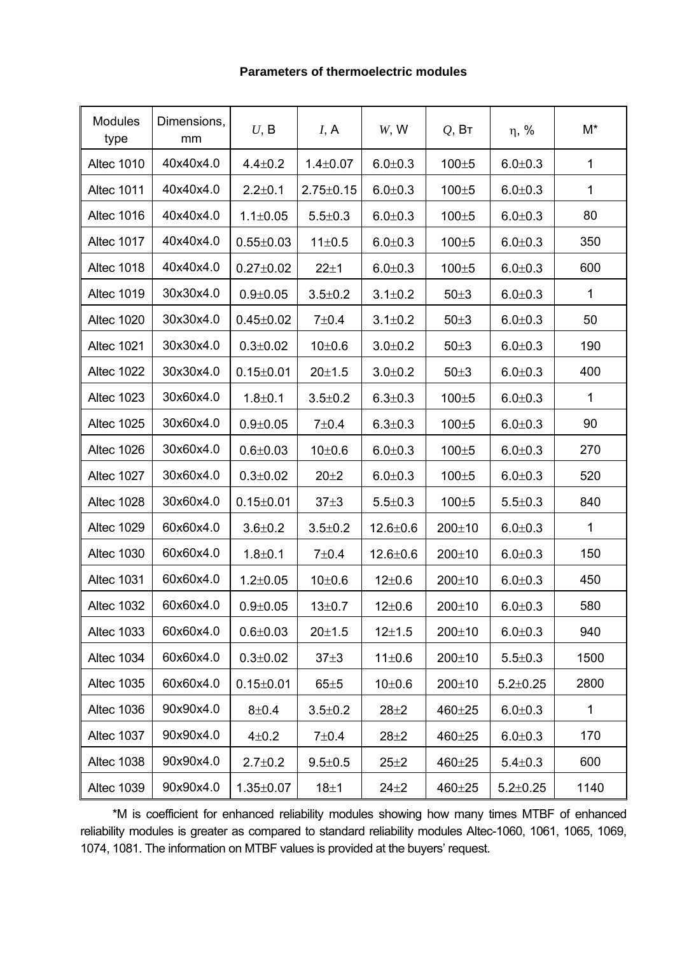## **Parameters of thermoelectric modules**

| <b>Modules</b><br>type | Dimensions,<br>mm | U, B            | I, A            | W, W           | $Q$ , Вт     | η, %           | $M^*$        |
|------------------------|-------------------|-----------------|-----------------|----------------|--------------|----------------|--------------|
| <b>Altec 1010</b>      | 40x40x4.0         | $4.4 \pm 0.2$   | $1.4 \pm 0.07$  | $6.0 + 0.3$    | $100 + 5$    | $6.0 + 0.3$    | 1            |
| <b>Altec 1011</b>      | 40x40x4.0         | $2.2 + 0.1$     | $2.75 \pm 0.15$ | $6.0 \pm 0.3$  | $100 + 5$    | $6.0 + 0.3$    | 1            |
| <b>Altec 1016</b>      | 40x40x4.0         | $1.1 \pm 0.05$  | $5.5 \pm 0.3$   | $6.0 + 0.3$    | $100 + 5$    | $6.0 + 0.3$    | 80           |
| <b>Altec 1017</b>      | 40x40x4.0         | $0.55 \pm 0.03$ | 11±0.5          | $6.0 + 0.3$    | $100 + 5$    | $6.0 + 0.3$    | 350          |
| <b>Altec 1018</b>      | 40x40x4.0         | $0.27 \pm 0.02$ | $22 + 1$        | $6.0 + 0.3$    | $100 + 5$    | $6.0 + 0.3$    | 600          |
| <b>Altec 1019</b>      | 30x30x4.0         | $0.9 + 0.05$    | $3.5 \pm 0.2$   | $3.1 \pm 0.2$  | $50\pm3$     | $6.0 + 0.3$    | $\mathbf{1}$ |
| <b>Altec 1020</b>      | 30x30x4.0         | $0.45 \pm 0.02$ | $7 + 0.4$       | $3.1 \pm 0.2$  | $50\pm3$     | $6.0 + 0.3$    | 50           |
| <b>Altec 1021</b>      | 30x30x4.0         | $0.3 \pm 0.02$  | 10±0.6          | $3.0 + 0.2$    | $50\pm3$     | $6.0 + 0.3$    | 190          |
| <b>Altec 1022</b>      | 30x30x4.0         | $0.15 \pm 0.01$ | $20 + 1.5$      | $3.0 + 0.2$    | $50\pm3$     | $6.0 + 0.3$    | 400          |
| <b>Altec 1023</b>      | 30x60x4.0         | $1.8 + 0.1$     | $3.5 \pm 0.2$   | $6.3 \pm 0.3$  | $100 + 5$    | $6.0 + 0.3$    | 1            |
| <b>Altec 1025</b>      | 30x60x4.0         | $0.9 + 0.05$    | $7 + 0.4$       | $6.3 \pm 0.3$  | $100 + 5$    | $6.0 + 0.3$    | 90           |
| Altec 1026             | 30x60x4.0         | $0.6 \pm 0.03$  | 10±0.6          | $6.0 + 0.3$    | $100 + 5$    | $6.0 + 0.3$    | 270          |
| <b>Altec 1027</b>      | 30x60x4.0         | $0.3 \pm 0.02$  | $20 + 2$        | $6.0 + 0.3$    | $100 + 5$    | $6.0 \pm 0.3$  | 520          |
| <b>Altec 1028</b>      | 30x60x4.0         | $0.15 \pm 0.01$ | $37\pm3$        | $5.5 \pm 0.3$  | $100 + 5$    | $5.5 \pm 0.3$  | 840          |
| <b>Altec 1029</b>      | 60x60x4.0         | $3.6 \pm 0.2$   | $3.5 \pm 0.2$   | $12.6 \pm 0.6$ | 200±10       | $6.0 + 0.3$    | $\mathbf{1}$ |
| <b>Altec 1030</b>      | 60x60x4.0         | $1.8 + 0.1$     | $7 + 0.4$       | $12.6 \pm 0.6$ | $200 \pm 10$ | $6.0 \pm 0.3$  | 150          |
| <b>Altec 1031</b>      | 60x60x4.0         | $1.2 \pm 0.05$  | $10 \pm 0.6$    | $12 \pm 0.6$   | 200±10       | $6.0 + 0.3$    | 450          |
| <b>Altec 1032</b>      | 60x60x4.0         | $0.9 \pm 0.05$  | $13 \pm 0.7$    | $12 \pm 0.6$   | $200 \pm 10$ | $6.0 \pm 0.3$  | 580          |
| <b>Altec 1033</b>      | 60x60x4.0         | $0.6 \pm 0.03$  | $20 + 1.5$      | $12 + 1.5$     | 200±10       | $6.0 + 0.3$    | 940          |
| Altec 1034             | 60x60x4.0         | $0.3 \pm 0.02$  | $37\pm3$        | 11±0.6         | 200±10       | $5.5 \pm 0.3$  | 1500         |
| <b>Altec 1035</b>      | 60x60x4.0         | $0.15 \pm 0.01$ | $65 \pm 5$      | 10±0.6         | 200±10       | $5.2 \pm 0.25$ | 2800         |
| <b>Altec 1036</b>      | 90x90x4.0         | $8 + 0.4$       | $3.5 \pm 0.2$   | $28 + 2$       | 460±25       | $6.0 + 0.3$    | $\mathbf{1}$ |
| Altec 1037             | 90x90x4.0         | $4 + 0.2$       | $7 + 0.4$       | $28 + 2$       | 460±25       | $6.0 + 0.3$    | 170          |
| Altec 1038             | 90x90x4.0         | $2.7 \pm 0.2$   | $9.5 + 0.5$     | $25 + 2$       | 460±25       | $5.4 \pm 0.3$  | 600          |
| <b>Altec 1039</b>      | 90x90x4.0         | $1.35 \pm 0.07$ | 18±1            | $24 + 2$       | 460±25       | $5.2 \pm 0.25$ | 1140         |

\*М is coefficient for enhanced reliability modules showing how many times MTBF of enhanced reliability modules is greater as compared to standard reliability modules Altec-1060, 1061, 1065, 1069, 1074, 1081. The information on MTBF values is provided at the buyers' request.